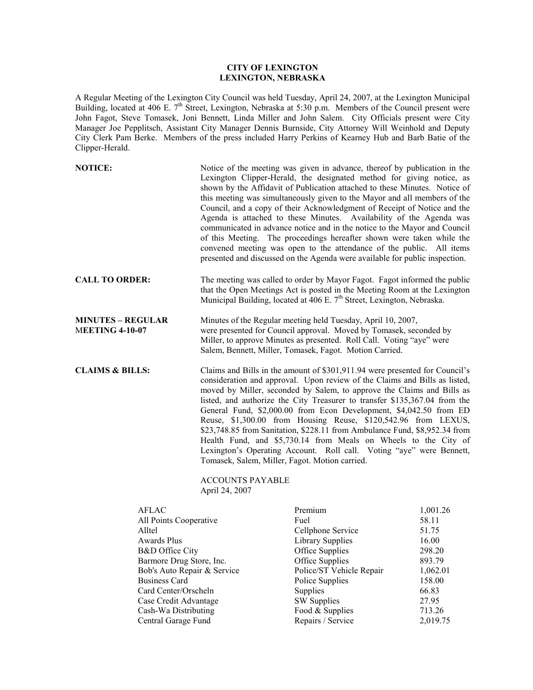## **CITY OF LEXINGTON LEXINGTON, NEBRASKA**

A Regular Meeting of the Lexington City Council was held Tuesday, April 24, 2007, at the Lexington Municipal Building, located at 406 E. 7<sup>th</sup> Street, Lexington, Nebraska at 5:30 p.m. Members of the Council present were John Fagot, Steve Tomasek, Joni Bennett, Linda Miller and John Salem. City Officials present were City Manager Joe Pepplitsch, Assistant City Manager Dennis Burnside, City Attorney Will Weinhold and Deputy City Clerk Pam Berke. Members of the press included Harry Perkins of Kearney Hub and Barb Batie of the Clipper-Herald.

| <b>NOTICE:</b>                                     |                                                                                                                                                                                                                                                                                                                                                                                                                                                                                                                                                                                                                                                                                                                                                                 | Notice of the meeting was given in advance, thereof by publication in the<br>Lexington Clipper-Herald, the designated method for giving notice, as<br>shown by the Affidavit of Publication attached to these Minutes. Notice of<br>this meeting was simultaneously given to the Mayor and all members of the<br>Council, and a copy of their Acknowledgment of Receipt of Notice and the<br>Agenda is attached to these Minutes. Availability of the Agenda was<br>communicated in advance notice and in the notice to the Mayor and Council<br>of this Meeting. The proceedings hereafter shown were taken while the<br>convened meeting was open to the attendance of the public. All items<br>presented and discussed on the Agenda were available for public inspection. |                   |  |
|----------------------------------------------------|-----------------------------------------------------------------------------------------------------------------------------------------------------------------------------------------------------------------------------------------------------------------------------------------------------------------------------------------------------------------------------------------------------------------------------------------------------------------------------------------------------------------------------------------------------------------------------------------------------------------------------------------------------------------------------------------------------------------------------------------------------------------|-------------------------------------------------------------------------------------------------------------------------------------------------------------------------------------------------------------------------------------------------------------------------------------------------------------------------------------------------------------------------------------------------------------------------------------------------------------------------------------------------------------------------------------------------------------------------------------------------------------------------------------------------------------------------------------------------------------------------------------------------------------------------------|-------------------|--|
| <b>CALL TO ORDER:</b>                              |                                                                                                                                                                                                                                                                                                                                                                                                                                                                                                                                                                                                                                                                                                                                                                 | The meeting was called to order by Mayor Fagot. Fagot informed the public<br>that the Open Meetings Act is posted in the Meeting Room at the Lexington<br>Municipal Building, located at 406 E. 7 <sup>th</sup> Street, Lexington, Nebraska.                                                                                                                                                                                                                                                                                                                                                                                                                                                                                                                                  |                   |  |
| <b>MINUTES - REGULAR</b><br><b>MEETING 4-10-07</b> |                                                                                                                                                                                                                                                                                                                                                                                                                                                                                                                                                                                                                                                                                                                                                                 | Minutes of the Regular meeting held Tuesday, April 10, 2007,<br>were presented for Council approval. Moved by Tomasek, seconded by<br>Miller, to approve Minutes as presented. Roll Call. Voting "aye" were<br>Salem, Bennett, Miller, Tomasek, Fagot. Motion Carried.                                                                                                                                                                                                                                                                                                                                                                                                                                                                                                        |                   |  |
| <b>CLAIMS &amp; BILLS:</b>                         | Claims and Bills in the amount of \$301,911.94 were presented for Council's<br>consideration and approval. Upon review of the Claims and Bills as listed,<br>moved by Miller, seconded by Salem, to approve the Claims and Bills as<br>listed, and authorize the City Treasurer to transfer \$135,367.04 from the<br>General Fund, \$2,000.00 from Econ Development, \$4,042.50 from ED<br>Reuse, \$1,300.00 from Housing Reuse, \$120,542.96 from LEXUS,<br>\$23,748.85 from Sanitation, \$228.11 from Ambulance Fund, \$8,952.34 from<br>Health Fund, and \$5,730.14 from Meals on Wheels to the City of<br>Lexington's Operating Account. Roll call. Voting "aye" were Bennett,<br>Tomasek, Salem, Miller, Fagot. Motion carried.<br><b>ACCOUNTS PAYABLE</b> |                                                                                                                                                                                                                                                                                                                                                                                                                                                                                                                                                                                                                                                                                                                                                                               |                   |  |
| <b>AFLAC</b>                                       | April 24, 2007                                                                                                                                                                                                                                                                                                                                                                                                                                                                                                                                                                                                                                                                                                                                                  | Premium                                                                                                                                                                                                                                                                                                                                                                                                                                                                                                                                                                                                                                                                                                                                                                       |                   |  |
| All Points Cooperative                             |                                                                                                                                                                                                                                                                                                                                                                                                                                                                                                                                                                                                                                                                                                                                                                 | Fuel                                                                                                                                                                                                                                                                                                                                                                                                                                                                                                                                                                                                                                                                                                                                                                          | 1,001.26<br>58.11 |  |
| Alltel                                             |                                                                                                                                                                                                                                                                                                                                                                                                                                                                                                                                                                                                                                                                                                                                                                 | Cellphone Service                                                                                                                                                                                                                                                                                                                                                                                                                                                                                                                                                                                                                                                                                                                                                             | 51.75             |  |
| <b>Awards Plus</b>                                 |                                                                                                                                                                                                                                                                                                                                                                                                                                                                                                                                                                                                                                                                                                                                                                 | <b>Library Supplies</b>                                                                                                                                                                                                                                                                                                                                                                                                                                                                                                                                                                                                                                                                                                                                                       | 16.00             |  |
| <b>B&amp;D</b> Office City                         |                                                                                                                                                                                                                                                                                                                                                                                                                                                                                                                                                                                                                                                                                                                                                                 | Office Supplies                                                                                                                                                                                                                                                                                                                                                                                                                                                                                                                                                                                                                                                                                                                                                               | 298.20            |  |
| Dormora Drug Store Inc.                            |                                                                                                                                                                                                                                                                                                                                                                                                                                                                                                                                                                                                                                                                                                                                                                 | Office Supplies                                                                                                                                                                                                                                                                                                                                                                                                                                                                                                                                                                                                                                                                                                                                                               | 902,70            |  |

| 1 MH W                      | Comprione Dol vice       | <u>.</u> |  |
|-----------------------------|--------------------------|----------|--|
| Awards Plus                 | Library Supplies         | 16.00    |  |
| B&D Office City             | Office Supplies          | 298.20   |  |
| Barmore Drug Store, Inc.    | Office Supplies          | 893.79   |  |
| Bob's Auto Repair & Service | Police/ST Vehicle Repair | 1,062.01 |  |
| <b>Business Card</b>        | Police Supplies          | 158.00   |  |
| Card Center/Orscheln        | <b>Supplies</b>          | 66.83    |  |
| Case Credit Advantage       | <b>SW</b> Supplies       | 27.95    |  |
| Cash-Wa Distributing        | Food & Supplies          | 713.26   |  |
| Central Garage Fund         | Repairs / Service        | 2,019.75 |  |
|                             |                          |          |  |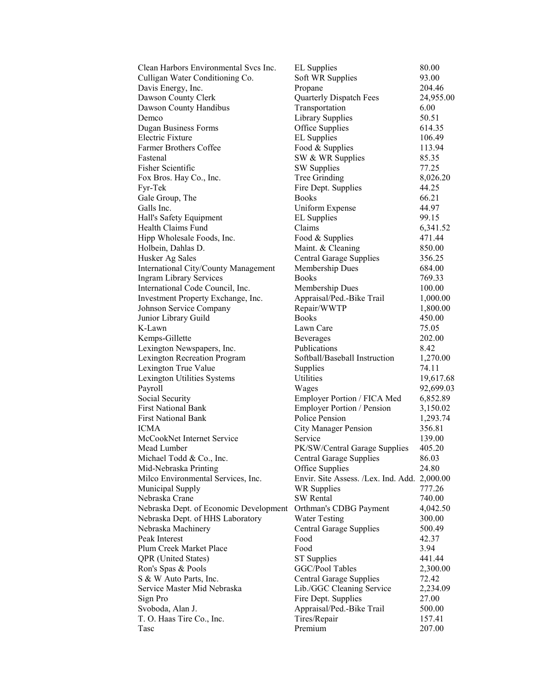| Clean Harbors Environmental Svcs Inc.       | <b>EL</b> Supplies                           | 80.00     |
|---------------------------------------------|----------------------------------------------|-----------|
| Culligan Water Conditioning Co.             | Soft WR Supplies                             | 93.00     |
| Davis Energy, Inc.                          | Propane                                      | 204.46    |
| Dawson County Clerk                         | Quarterly Dispatch Fees                      | 24,955.00 |
| Dawson County Handibus                      | Transportation                               | 6.00      |
| Demco                                       | <b>Library Supplies</b>                      | 50.51     |
| <b>Dugan Business Forms</b>                 | Office Supplies                              | 614.35    |
| Electric Fixture                            | <b>EL</b> Supplies                           | 106.49    |
| <b>Farmer Brothers Coffee</b>               | Food & Supplies                              | 113.94    |
| Fastenal                                    | SW & WR Supplies                             | 85.35     |
| <b>Fisher Scientific</b>                    | <b>SW Supplies</b>                           | 77.25     |
| Fox Bros. Hay Co., Inc.                     | Tree Grinding                                | 8,026.20  |
| Fyr-Tek                                     | Fire Dept. Supplies                          | 44.25     |
| Gale Group, The                             | <b>Books</b>                                 | 66.21     |
| Galls Inc.                                  | Uniform Expense                              | 44.97     |
| Hall's Safety Equipment                     | <b>EL</b> Supplies                           | 99.15     |
| Health Claims Fund                          | Claims                                       | 6,341.52  |
| Hipp Wholesale Foods, Inc.                  | Food & Supplies                              | 471.44    |
| Holbein, Dahlas D.                          | Maint. & Cleaning                            | 850.00    |
| Husker Ag Sales                             | <b>Central Garage Supplies</b>               | 356.25    |
| <b>International City/County Management</b> | Membership Dues                              | 684.00    |
| <b>Ingram Library Services</b>              | <b>Books</b>                                 | 769.33    |
| International Code Council, Inc.            | Membership Dues                              | 100.00    |
| Investment Property Exchange, Inc.          | Appraisal/Ped.-Bike Trail                    | 1,000.00  |
| Johnson Service Company                     | Repair/WWTP                                  | 1,800.00  |
| Junior Library Guild                        | <b>Books</b>                                 | 450.00    |
| K-Lawn                                      | Lawn Care                                    | 75.05     |
| Kemps-Gillette                              | Beverages                                    | 202.00    |
| Lexington Newspapers, Inc.                  | Publications                                 | 8.42      |
| <b>Lexington Recreation Program</b>         | Softball/Baseball Instruction                | 1,270.00  |
| Lexington True Value                        | Supplies                                     | 74.11     |
| Lexington Utilities Systems                 | Utilities                                    | 19,617.68 |
| Payroll                                     | Wages                                        | 92,699.03 |
| Social Security                             | Employer Portion / FICA Med                  | 6,852.89  |
| <b>First National Bank</b>                  | <b>Employer Portion / Pension</b>            | 3,150.02  |
| <b>First National Bank</b>                  | Police Pension                               | 1,293.74  |
| ICMA                                        | <b>City Manager Pension</b>                  | 356.81    |
| McCookNet Internet Service                  | Service                                      | 139.00    |
| Mead Lumber                                 | PK/SW/Central Garage Supplies                | 405.20    |
| Michael Todd & Co., Inc.                    | <b>Central Garage Supplies</b>               | 86.03     |
| Mid-Nebraska Printing                       | Office Supplies                              | 24.80     |
| Milco Environmental Services, Inc.          | Envir. Site Assess. /Lex. Ind. Add. 2,000.00 |           |
| Municipal Supply                            | <b>WR Supplies</b>                           | 777.26    |
| Nebraska Crane                              | <b>SW</b> Rental                             | 740.00    |
| Nebraska Dept. of Economic Development      | Orthman's CDBG Payment                       | 4,042.50  |
| Nebraska Dept. of HHS Laboratory            | <b>Water Testing</b>                         | 300.00    |
| Nebraska Machinery                          | <b>Central Garage Supplies</b>               | 500.49    |
| Peak Interest                               | Food                                         | 42.37     |
| Plum Creek Market Place                     | Food                                         | 3.94      |
| <b>QPR</b> (United States)                  | <b>ST</b> Supplies                           | 441.44    |
| Ron's Spas & Pools                          | GGC/Pool Tables                              | 2,300.00  |
| S & W Auto Parts, Inc.                      | <b>Central Garage Supplies</b>               | 72.42     |
| Service Master Mid Nebraska                 | Lib./GGC Cleaning Service                    | 2,234.09  |
| Sign Pro                                    | Fire Dept. Supplies                          | 27.00     |
| Svoboda, Alan J.                            | Appraisal/Ped.-Bike Trail                    | 500.00    |
| T. O. Haas Tire Co., Inc.                   | Tires/Repair                                 | 157.41    |
| Tasc                                        | Premium                                      | 207.00    |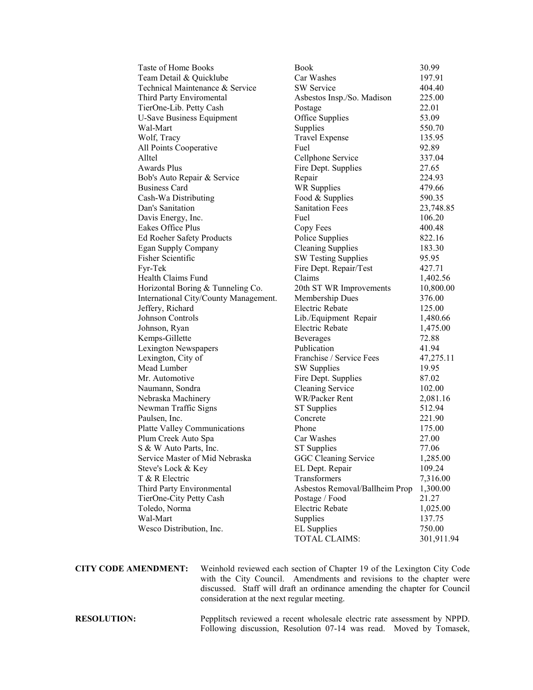| Taste of Home Books                   | <b>Book</b>                    | 30.99      |
|---------------------------------------|--------------------------------|------------|
| Team Detail & Quicklube               | Car Washes                     | 197.91     |
| Technical Maintenance & Service       | SW Service                     | 404.40     |
| Third Party Enviromental              | Asbestos Insp./So. Madison     | 225.00     |
| TierOne-Lib. Petty Cash               | Postage                        | 22.01      |
| <b>U-Save Business Equipment</b>      | Office Supplies                | 53.09      |
| Wal-Mart                              | Supplies                       | 550.70     |
| Wolf, Tracy                           | <b>Travel Expense</b>          | 135.95     |
| All Points Cooperative                | Fuel                           | 92.89      |
| Alltel                                | Cellphone Service              | 337.04     |
| <b>Awards Plus</b>                    | Fire Dept. Supplies            | 27.65      |
| Bob's Auto Repair & Service           | Repair                         | 224.93     |
| <b>Business Card</b>                  | <b>WR Supplies</b>             | 479.66     |
| Cash-Wa Distributing                  | Food & Supplies                | 590.35     |
| Dan's Sanitation                      | <b>Sanitation Fees</b>         | 23,748.85  |
| Davis Energy, Inc.                    | Fuel                           | 106.20     |
| Eakes Office Plus                     | Copy Fees                      | 400.48     |
| Ed Roeher Safety Products             | Police Supplies                | 822.16     |
| <b>Egan Supply Company</b>            | <b>Cleaning Supplies</b>       | 183.30     |
| Fisher Scientific                     | <b>SW Testing Supplies</b>     | 95.95      |
| Fyr-Tek                               | Fire Dept. Repair/Test         | 427.71     |
| Health Claims Fund                    | Claims                         | 1,402.56   |
| Horizontal Boring & Tunneling Co.     | 20th ST WR Improvements        | 10,800.00  |
| International City/County Management. | Membership Dues                | 376.00     |
| Jeffery, Richard                      | Electric Rebate                | 125.00     |
| Johnson Controls                      | Lib./Equipment Repair          | 1,480.66   |
| Johnson, Ryan                         | Electric Rebate                | 1,475.00   |
| Kemps-Gillette                        | <b>Beverages</b>               | 72.88      |
| Lexington Newspapers                  | Publication                    | 41.94      |
| Lexington, City of                    | Franchise / Service Fees       | 47,275.11  |
| Mead Lumber                           | <b>SW</b> Supplies             | 19.95      |
| Mr. Automotive                        | Fire Dept. Supplies            | 87.02      |
| Naumann, Sondra                       | <b>Cleaning Service</b>        | 102.00     |
| Nebraska Machinery                    | WR/Packer Rent                 | 2,081.16   |
| Newman Traffic Signs                  | <b>ST</b> Supplies             | 512.94     |
| Paulsen, Inc.                         | Concrete                       | 221.90     |
| <b>Platte Valley Communications</b>   | Phone                          | 175.00     |
| Plum Creek Auto Spa                   | Car Washes                     | 27.00      |
| S & W Auto Parts, Inc.                | <b>ST Supplies</b>             | 77.06      |
| Service Master of Mid Nebraska        | GGC Cleaning Service           | 1,285.00   |
| Steve's Lock & Key                    | EL Dept. Repair                | 109.24     |
| T & R Electric                        | Transformers                   | 7,316.00   |
| Third Party Environmental             | Asbestos Removal/Ballheim Prop | 1,300.00   |
|                                       | Postage / Food                 | 21.27      |
| TierOne-City Petty Cash               |                                |            |
| Toledo, Norma                         | Electric Rebate                | 1,025.00   |
| Wal-Mart                              | Supplies                       | 137.75     |
| Wesco Distribution, Inc.              | <b>EL</b> Supplies             | 750.00     |
|                                       | TOTAL CLAIMS:                  | 301,911.94 |

**CITY CODE AMENDMENT:** Weinhold reviewed each section of Chapter 19 of the Lexington City Code with the City Council. Amendments and revisions to the chapter were discussed. Staff will draft an ordinance amending the chapter for Council consideration at the next regular meeting.

**RESOLUTION:** Pepplitsch reviewed a recent wholesale electric rate assessment by NPPD. Following discussion, Resolution 07-14 was read. Moved by Tomasek,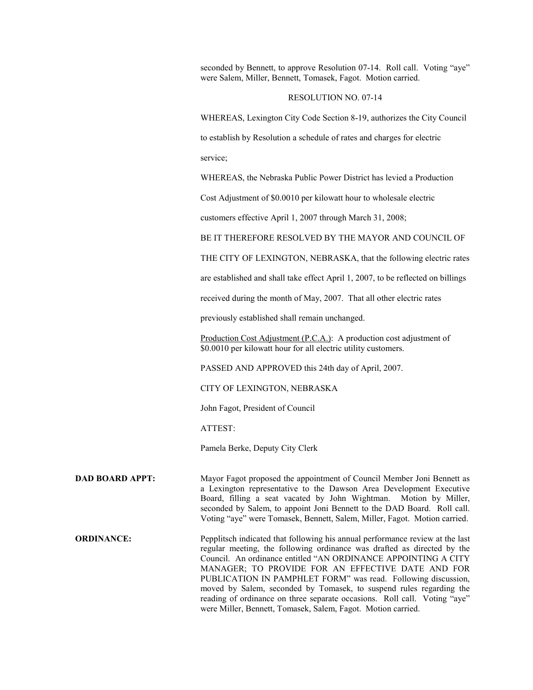seconded by Bennett, to approve Resolution 07-14. Roll call. Voting "aye" were Salem, Miller, Bennett, Tomasek, Fagot. Motion carried.

## RESOLUTION NO. 07-14

WHEREAS, Lexington City Code Section 8-19, authorizes the City Council

to establish by Resolution a schedule of rates and charges for electric

service;

WHEREAS, the Nebraska Public Power District has levied a Production

Cost Adjustment of \$0.0010 per kilowatt hour to wholesale electric

customers effective April 1, 2007 through March 31, 2008;

BE IT THEREFORE RESOLVED BY THE MAYOR AND COUNCIL OF

THE CITY OF LEXINGTON, NEBRASKA, that the following electric rates

are established and shall take effect April 1, 2007, to be reflected on billings

received during the month of May, 2007. That all other electric rates

previously established shall remain unchanged.

Production Cost Adjustment (P.C.A.): A production cost adjustment of \$0.0010 per kilowatt hour for all electric utility customers.

PASSED AND APPROVED this 24th day of April, 2007.

CITY OF LEXINGTON, NEBRASKA

John Fagot, President of Council

ATTEST:

Pamela Berke, Deputy City Clerk

**DAD BOARD APPT:** Mayor Fagot proposed the appointment of Council Member Joni Bennett as a Lexington representative to the Dawson Area Development Executive Board, filling a seat vacated by John Wightman. Motion by Miller, seconded by Salem, to appoint Joni Bennett to the DAD Board. Roll call. Voting "aye" were Tomasek, Bennett, Salem, Miller, Fagot. Motion carried.

**ORDINANCE:** Pepplitsch indicated that following his annual performance review at the last regular meeting, the following ordinance was drafted as directed by the Council. An ordinance entitled "AN ORDINANCE APPOINTING A CITY MANAGER; TO PROVIDE FOR AN EFFECTIVE DATE AND FOR PUBLICATION IN PAMPHLET FORM" was read. Following discussion, moved by Salem, seconded by Tomasek, to suspend rules regarding the reading of ordinance on three separate occasions. Roll call. Voting "aye" were Miller, Bennett, Tomasek, Salem, Fagot. Motion carried.